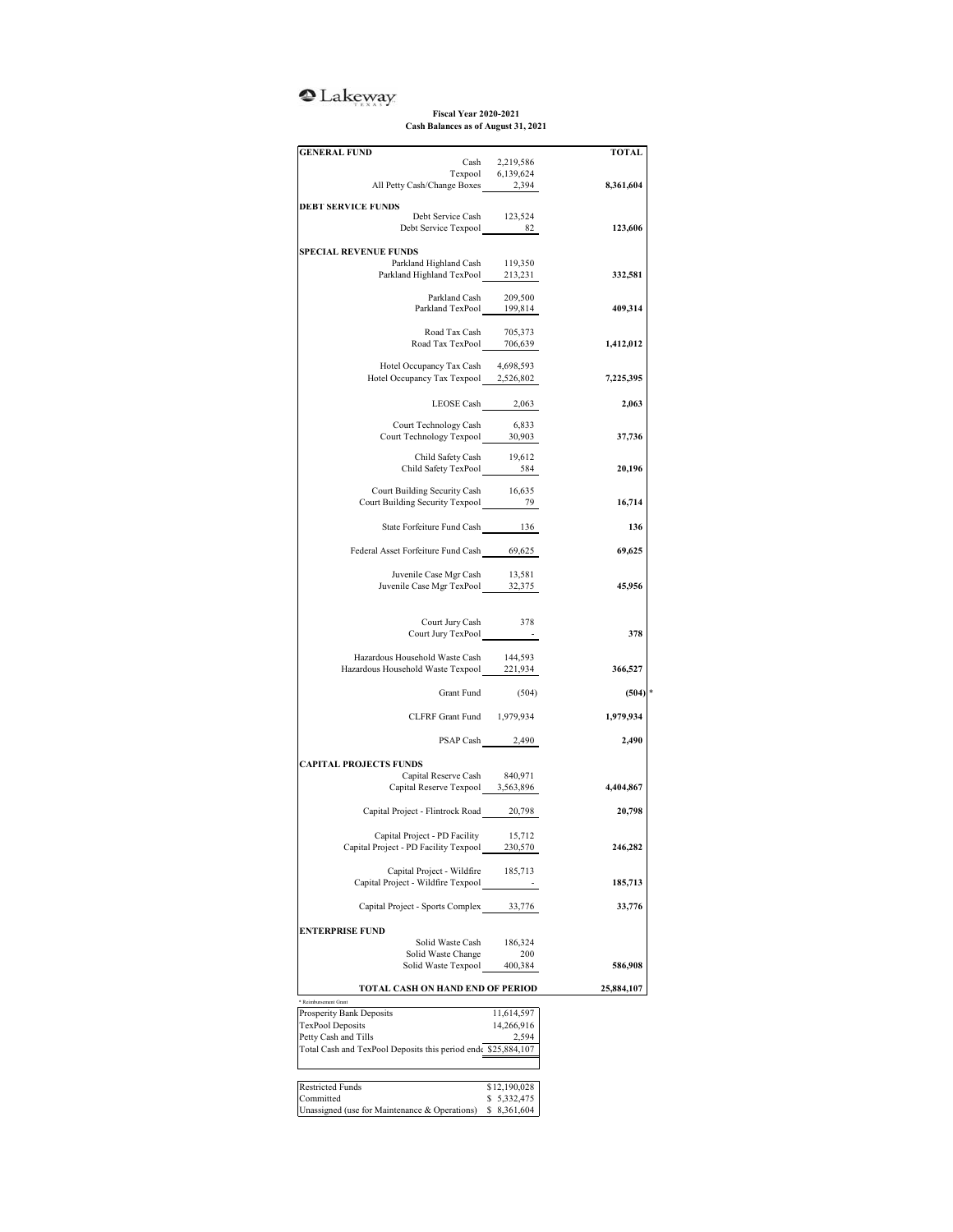## <sup>o</sup>Lakeway

**Fiscal Year 2020-2021 Cash Balances as of August 31, 2021**

| <b>GENERAL FUND</b>                                                                   |                                     | <b>TOTAL</b> |
|---------------------------------------------------------------------------------------|-------------------------------------|--------------|
|                                                                                       | Cash 2,219,586<br>Texpool 6,139,624 |              |
| All Petty Cash/Change Boxes 2,394                                                     |                                     | 8,361,604    |
|                                                                                       |                                     |              |
| <b>DEBT SERVICE FUNDS</b><br>Debt Service Cash 123,524                                |                                     |              |
| Debt Service Texpool 82                                                               |                                     | 123,606      |
|                                                                                       |                                     |              |
| <b>SPECIAL REVENUE FUNDS</b>                                                          |                                     |              |
| Parkland Highland Cash<br>Parkland Highland TexPool __ 213,231                        | 119,350                             | 332,581      |
|                                                                                       |                                     |              |
|                                                                                       |                                     |              |
| Parkland Cash 209,500<br>Parkland TexPool 199,814                                     |                                     | 409,314      |
|                                                                                       |                                     |              |
| Road Tax Cash 705,373<br>Road Tax TexPool 706,639                                     |                                     |              |
|                                                                                       |                                     | 1,412,012    |
| Hotel Occupancy Tax Cash                                                              | 4,698,593                           |              |
| Hotel Occupancy Tax Texpool 2,526,802                                                 |                                     | 7,225,395    |
|                                                                                       |                                     |              |
| LEOSE Cash 2,063                                                                      |                                     | 2,063        |
| Court Technology Cash                                                                 | 6,833                               |              |
| Court Technology Cash 6,833<br>Court Technology Texpool 30,903                        |                                     | 37,736       |
|                                                                                       |                                     |              |
| Child Safety Cash 19,612<br>Child Safety TexPool 584                                  |                                     |              |
|                                                                                       |                                     | 20,196       |
| Court Building Security Cash 16,635                                                   |                                     |              |
| Court Building Security Texpool 79                                                    |                                     | 16,714       |
|                                                                                       |                                     |              |
| State Forfeiture Fund Cash 136                                                        |                                     | 136          |
|                                                                                       |                                     |              |
| Federal Asset Forfeiture Fund Cash 69,625                                             |                                     | 69,625       |
|                                                                                       |                                     |              |
| Juvenile Case Mgr Cash 13,581<br>Juvenile Case Mgr TexPool 32,375                     |                                     | 45,956       |
|                                                                                       |                                     |              |
|                                                                                       |                                     |              |
| Court Jury Cash 378                                                                   |                                     |              |
| Court Jury TexPool -                                                                  |                                     | 378          |
| Hazardous Household Waste Cash                                                        | 144,593                             |              |
| Hazardous Household Waste Texpool 221,934                                             |                                     | 366,527      |
|                                                                                       |                                     |              |
| Grant Fund                                                                            | (504)                               | $(504)$ *    |
| CLFRF Grant Fund 1,979,934                                                            |                                     | 1,979,934    |
|                                                                                       |                                     |              |
|                                                                                       | PSAP Cash 2,490                     | 2,490        |
|                                                                                       |                                     |              |
| <b>CAPITAL PROJECTS FUNDS</b>                                                         |                                     |              |
| Capital Reserve Cash                                                                  | 840,971                             |              |
| Capital Reserve Texpool 3,563,896                                                     |                                     | 4,404,867    |
| Capital Project - Flintrock Road 20,798                                               |                                     | 20,798       |
|                                                                                       |                                     |              |
| Capital Project - PD Facility                                                         | 15,712                              |              |
| Capital Project - PD Facility Texpool                                                 | 230,570                             | 246,282      |
|                                                                                       |                                     |              |
| Capital Project - Wildfire                                                            | 185,713                             |              |
| Capital Project - Wildfire Texpool                                                    |                                     | 185,713      |
| Capital Project - Sports Complex 33,776                                               |                                     | 33,776       |
|                                                                                       |                                     |              |
| <b>ENTERPRISE FUND</b>                                                                |                                     |              |
| Solid Waste Cash                                                                      | 186,324                             |              |
| Solid Waste Change                                                                    | 200                                 |              |
| Solid Waste Texpool                                                                   | 400,384                             | 586,908      |
| TOTAL CASH ON HAND END OF PERIOD                                                      |                                     | 25,884,107   |
| Reimbursement Grant                                                                   |                                     |              |
| Prosperity Bank Deposits                                                              | 11,614,597                          |              |
| <b>TexPool Deposits</b>                                                               | 14,266,916                          |              |
| Petty Cash and Tills<br>Total Cash and TexPool Deposits this period end \$25,884,107  | 2,594                               |              |
|                                                                                       |                                     |              |
|                                                                                       |                                     |              |
|                                                                                       |                                     |              |
|                                                                                       | \$12,190,028                        |              |
| <b>Restricted Funds</b><br>Committed<br>Unassigned (use for Maintenance & Operations) | \$5,332,475<br>\$8,361,604          |              |